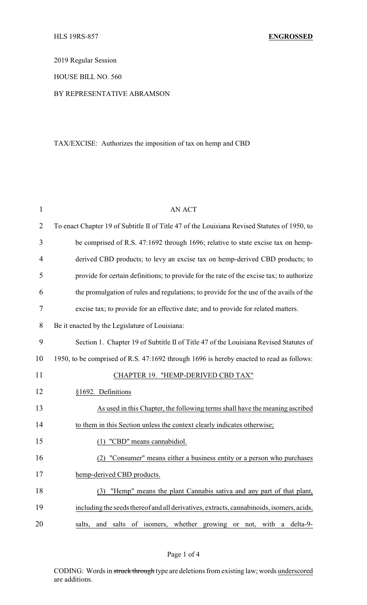2019 Regular Session

HOUSE BILL NO. 560

## BY REPRESENTATIVE ABRAMSON

## TAX/EXCISE: Authorizes the imposition of tax on hemp and CBD

| $\mathbf{1}$   | <b>AN ACT</b>                                                                                |
|----------------|----------------------------------------------------------------------------------------------|
| $\overline{2}$ | To enact Chapter 19 of Subtitle II of Title 47 of the Louisiana Revised Statutes of 1950, to |
| 3              | be comprised of R.S. 47:1692 through 1696; relative to state excise tax on hemp-             |
| $\overline{4}$ | derived CBD products; to levy an excise tax on hemp-derived CBD products; to                 |
| 5              | provide for certain definitions; to provide for the rate of the excise tax; to authorize     |
| 6              | the promulgation of rules and regulations; to provide for the use of the avails of the       |
| 7              | excise tax; to provide for an effective date; and to provide for related matters.            |
| 8              | Be it enacted by the Legislature of Louisiana:                                               |
| 9              | Section 1. Chapter 19 of Subtitle II of Title 47 of the Louisiana Revised Statutes of        |
| 10             | 1950, to be comprised of R.S. 47:1692 through 1696 is hereby enacted to read as follows:     |
| 11             | CHAPTER 19. "HEMP-DERIVED CBD TAX"                                                           |
| 12             | §1692. Definitions                                                                           |
| 13             | As used in this Chapter, the following terms shall have the meaning ascribed                 |
| 14             | to them in this Section unless the context clearly indicates otherwise;                      |
| 15             | (1) "CBD" means cannabidiol.                                                                 |
| 16             | "Consumer" means either a business entity or a person who purchases<br>(2)                   |
| 17             | hemp-derived CBD products.                                                                   |
| 18             | "Hemp" means the plant Cannabis sativa and any part of that plant,<br>(3)                    |
| 19             | including the seeds thereof and all derivatives, extracts, cannabinoids, isomers, acids,     |
| 20             | and salts of isomers, whether growing or not, with a delta-9-<br>salts,                      |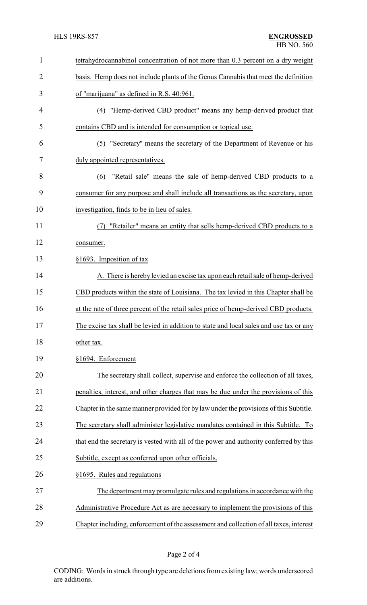| $\mathbf{1}$   | tetrahydrocannabinol concentration of not more than 0.3 percent on a dry weight        |
|----------------|----------------------------------------------------------------------------------------|
| $\overline{2}$ | basis. Hemp does not include plants of the Genus Cannabis that meet the definition     |
| 3              | of "marijuana" as defined in R.S. 40:961.                                              |
| $\overline{4}$ | "Hemp-derived CBD product" means any hemp-derived product that<br>(4)                  |
| 5              | contains CBD and is intended for consumption or topical use.                           |
| 6              | "Secretary" means the secretary of the Department of Revenue or his<br>(5)             |
| 7              | duly appointed representatives.                                                        |
| 8              | "Retail sale" means the sale of hemp-derived CBD products to a<br>(6)                  |
| 9              | consumer for any purpose and shall include all transactions as the secretary, upon     |
| 10             | investigation, finds to be in lieu of sales.                                           |
| 11             | "Retailer" means an entity that sells hemp-derived CBD products to a                   |
| 12             | consumer.                                                                              |
| 13             | §1693. Imposition of tax                                                               |
| 14             | A. There is hereby levied an excise tax upon each retail sale of hemp-derived          |
| 15             | CBD products within the state of Louisiana. The tax levied in this Chapter shall be    |
| 16             | at the rate of three percent of the retail sales price of hemp-derived CBD products.   |
| 17             | The excise tax shall be levied in addition to state and local sales and use tax or any |
| 18             | other tax.                                                                             |
| 19             | §1694. Enforcement                                                                     |
| 20             | The secretary shall collect, supervise and enforce the collection of all taxes,        |
| 21             | penalties, interest, and other charges that may be due under the provisions of this    |
| 22             | Chapter in the same manner provided for by law under the provisions of this Subtitle.  |
| 23             | The secretary shall administer legislative mandates contained in this Subtitle. To     |
| 24             | that end the secretary is vested with all of the power and authority conferred by this |
| 25             | Subtitle, except as conferred upon other officials.                                    |
| 26             | §1695. Rules and regulations                                                           |
| 27             | The department may promulgate rules and regulations in accordance with the             |
| 28             | Administrative Procedure Act as are necessary to implement the provisions of this      |
| 29             | Chapter including, enforcement of the assessment and collection of all taxes, interest |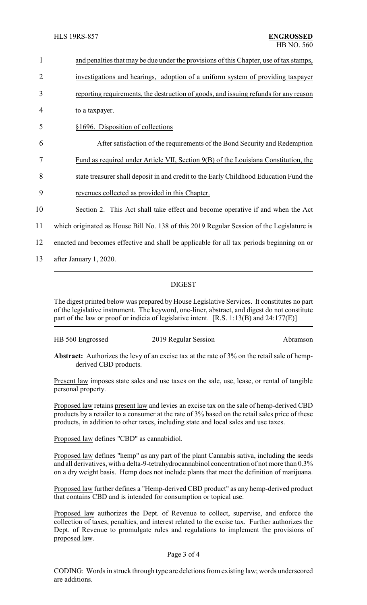| $\mathbf{1}$   | and penalties that may be due under the provisions of this Chapter, use of tax stamps,    |
|----------------|-------------------------------------------------------------------------------------------|
| $\overline{2}$ | investigations and hearings, adoption of a uniform system of providing taxpayer           |
| 3              | reporting requirements, the destruction of goods, and issuing refunds for any reason      |
| 4              | to a taxpayer.                                                                            |
| 5              | §1696. Disposition of collections                                                         |
| 6              | After satisfaction of the requirements of the Bond Security and Redemption                |
| 7              | Fund as required under Article VII, Section 9(B) of the Louisiana Constitution, the       |
| 8              | state treasurer shall deposit in and credit to the Early Childhood Education Fund the     |
| 9              | revenues collected as provided in this Chapter.                                           |
| 10             | Section 2. This Act shall take effect and become operative if and when the Act            |
| 11             | which originated as House Bill No. 138 of this 2019 Regular Session of the Legislature is |
| 12             | enacted and becomes effective and shall be applicable for all tax periods beginning on or |
| 13             | after January 1, 2020.                                                                    |

## DIGEST

The digest printed below was prepared by House Legislative Services. It constitutes no part of the legislative instrument. The keyword, one-liner, abstract, and digest do not constitute part of the law or proof or indicia of legislative intent. [R.S. 1:13(B) and 24:177(E)]

| HB 560 Engrossed | 2019 Regular Session | Abramson |
|------------------|----------------------|----------|
|                  |                      |          |

**Abstract:** Authorizes the levy of an excise tax at the rate of 3% on the retail sale of hempderived CBD products.

Present law imposes state sales and use taxes on the sale, use, lease, or rental of tangible personal property.

Proposed law retains present law and levies an excise tax on the sale of hemp-derived CBD products by a retailer to a consumer at the rate of 3% based on the retail sales price of these products, in addition to other taxes, including state and local sales and use taxes.

Proposed law defines "CBD" as cannabidiol.

Proposed law defines "hemp" as any part of the plant Cannabis sativa, including the seeds and all derivatives, with a delta-9-tetrahydrocannabinol concentration of not more than 0.3% on a dry weight basis. Hemp does not include plants that meet the definition of marijuana.

Proposed law further defines a "Hemp-derived CBD product" as any hemp-derived product that contains CBD and is intended for consumption or topical use.

Proposed law authorizes the Dept. of Revenue to collect, supervise, and enforce the collection of taxes, penalties, and interest related to the excise tax. Further authorizes the Dept. of Revenue to promulgate rules and regulations to implement the provisions of proposed law.

## Page 3 of 4

CODING: Words in struck through type are deletions from existing law; words underscored are additions.